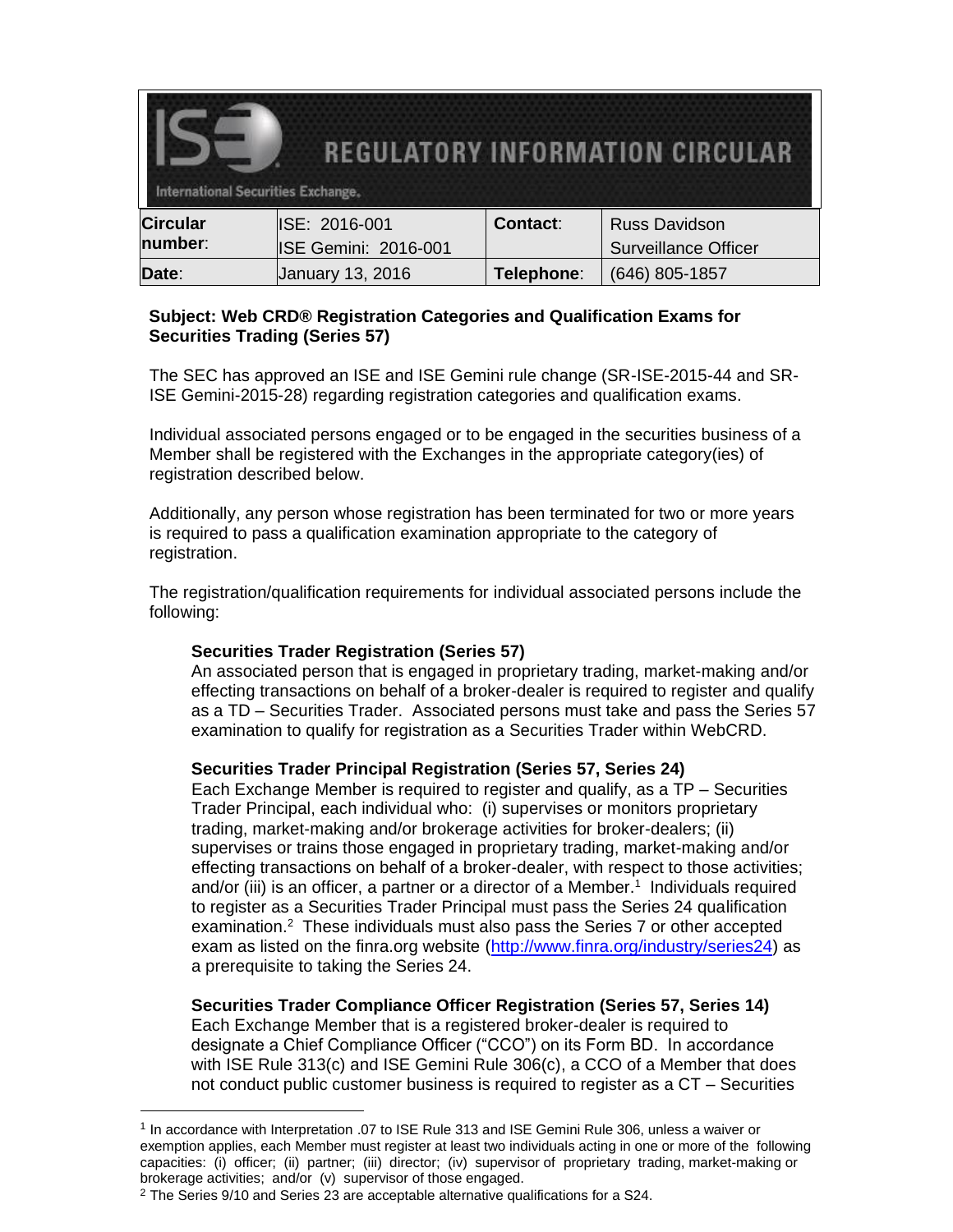| <b>REGULATORY INFORMATION CIRCULAR</b><br><b>International Securities Exchange,</b> |                             |            |                             |
|-------------------------------------------------------------------------------------|-----------------------------|------------|-----------------------------|
| <b>Circular</b>                                                                     | ISE: 2016-001               | Contact:   | <b>Russ Davidson</b>        |
| number:                                                                             | <b>ISE Gemini: 2016-001</b> |            | <b>Surveillance Officer</b> |
| Date:                                                                               | January 13, 2016            | Telephone: | (646) 805-1857              |

## **Subject: Web CRD® Registration Categories and Qualification Exams for Securities Trading (Series 57)**

The SEC has approved an ISE and ISE Gemini rule change (SR-ISE-2015-44 and SR-ISE Gemini-2015-28) regarding registration categories and qualification exams.

Individual associated persons engaged or to be engaged in the securities business of a Member shall be registered with the Exchanges in the appropriate category(ies) of registration described below.

Additionally, any person whose registration has been terminated for two or more years is required to pass a qualification examination appropriate to the category of registration.

The registration/qualification requirements for individual associated persons include the following:

## **Securities Trader Registration (Series 57)**

An associated person that is engaged in proprietary trading, market-making and/or effecting transactions on behalf of a broker-dealer is required to register and qualify as a TD – Securities Trader. Associated persons must take and pass the Series 57 examination to qualify for registration as a Securities Trader within WebCRD.

## **Securities Trader Principal Registration (Series 57, Series 24)**

Each Exchange Member is required to register and qualify, as a TP – Securities Trader Principal, each individual who: (i) supervises or monitors proprietary trading, market-making and/or brokerage activities for broker-dealers; (ii) supervises or trains those engaged in proprietary trading, market-making and/or effecting transactions on behalf of a broker-dealer, with respect to those activities; and/or (iii) is an officer, a partner or a director of a Member. 1 Individuals required to register as a Securities Trader Principal must pass the Series 24 qualification examination.<sup>2</sup> These individuals must also pass the Series 7 or other accepted exam as listed on the finra.org website [\(http://www.finra.org/industry/series24\)](http://www.finra.org/industry/series24) as a prerequisite to taking the Series 24.

## **Securities Trader Compliance Officer Registration (Series 57, Series 14)**

Each Exchange Member that is a registered broker-dealer is required to designate a Chief Compliance Officer ("CCO") on its Form BD. In accordance with ISE Rule 313(c) and ISE Gemini Rule 306(c), a CCO of a Member that does not conduct public customer business is required to register as a CT – Securities

 $\overline{a}$ 

<sup>&</sup>lt;sup>1</sup> In accordance with Interpretation .07 to ISE Rule 313 and ISE Gemini Rule 306, unless a waiver or exemption applies, each Member must register at least two individuals acting in one or more of the following capacities: (i) officer; (ii) partner; (iii) director; (iv) supervisor of proprietary trading, market-making or brokerage activities; and/or (v) supervisor of those engaged.

 $2$  The Series 9/10 and Series 23 are acceptable alternative qualifications for a S24.